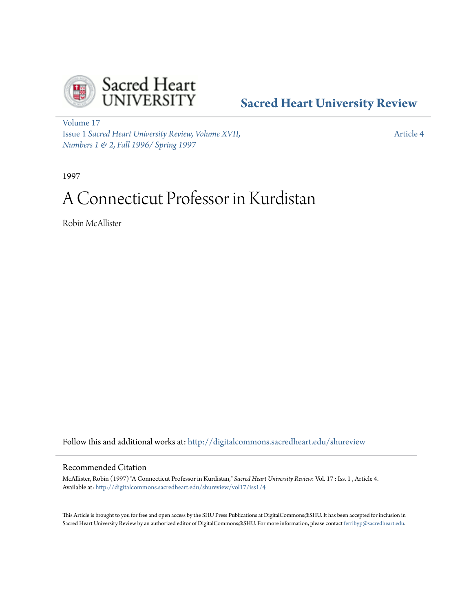

# **[Sacred Heart University Review](http://digitalcommons.sacredheart.edu/shureview?utm_source=digitalcommons.sacredheart.edu%2Fshureview%2Fvol17%2Fiss1%2F4&utm_medium=PDF&utm_campaign=PDFCoverPages)**

[Volume 17](http://digitalcommons.sacredheart.edu/shureview/vol17?utm_source=digitalcommons.sacredheart.edu%2Fshureview%2Fvol17%2Fiss1%2F4&utm_medium=PDF&utm_campaign=PDFCoverPages) Issue 1 *[Sacred Heart University Review, Volume XVII,](http://digitalcommons.sacredheart.edu/shureview/vol17/iss1?utm_source=digitalcommons.sacredheart.edu%2Fshureview%2Fvol17%2Fiss1%2F4&utm_medium=PDF&utm_campaign=PDFCoverPages) [Numbers 1 & 2, Fall 1996/ Spring 1997](http://digitalcommons.sacredheart.edu/shureview/vol17/iss1?utm_source=digitalcommons.sacredheart.edu%2Fshureview%2Fvol17%2Fiss1%2F4&utm_medium=PDF&utm_campaign=PDFCoverPages)*

[Article 4](http://digitalcommons.sacredheart.edu/shureview/vol17/iss1/4?utm_source=digitalcommons.sacredheart.edu%2Fshureview%2Fvol17%2Fiss1%2F4&utm_medium=PDF&utm_campaign=PDFCoverPages)

1997

# A Connecticut Professor in Kurdistan

Robin McAllister

Follow this and additional works at: [http://digitalcommons.sacredheart.edu/shureview](http://digitalcommons.sacredheart.edu/shureview?utm_source=digitalcommons.sacredheart.edu%2Fshureview%2Fvol17%2Fiss1%2F4&utm_medium=PDF&utm_campaign=PDFCoverPages)

# Recommended Citation

McAllister, Robin (1997) "A Connecticut Professor in Kurdistan," *Sacred Heart University Review*: Vol. 17 : Iss. 1 , Article 4. Available at: [http://digitalcommons.sacredheart.edu/shureview/vol17/iss1/4](http://digitalcommons.sacredheart.edu/shureview/vol17/iss1/4?utm_source=digitalcommons.sacredheart.edu%2Fshureview%2Fvol17%2Fiss1%2F4&utm_medium=PDF&utm_campaign=PDFCoverPages)

This Article is brought to you for free and open access by the SHU Press Publications at DigitalCommons@SHU. It has been accepted for inclusion in Sacred Heart University Review by an authorized editor of DigitalCommons@SHU. For more information, please contact [ferribyp@sacredheart.edu](mailto:ferribyp@sacredheart.edu).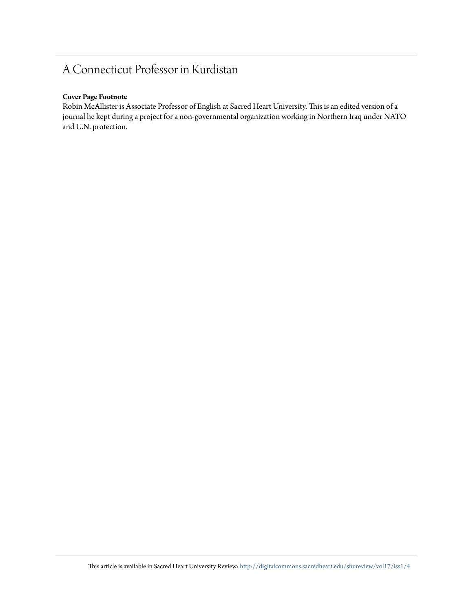# A Connecticut Professor in Kurdistan

# **Cover Page Footnote**

Robin McAllister is Associate Professor of English at Sacred Heart University. This is an edited version of a journal he kept during a project for a non-governmental organization working in Northern Iraq under NATO and U.N. protection.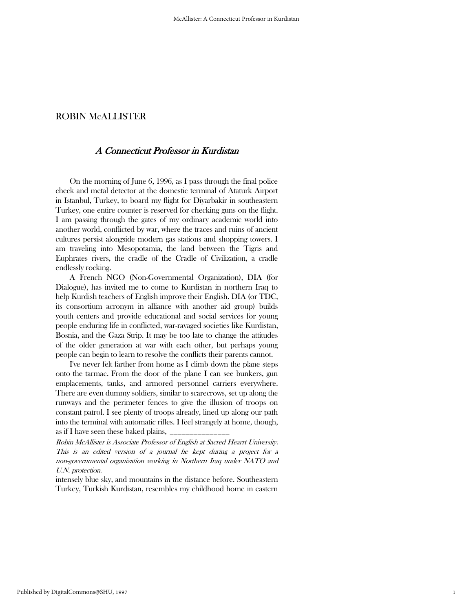# A Connecticut Professor in Kurdistan

 On the morning of June 6, 1996, as I pass through the final police check and metal detector at the domestic terminal of Ataturk Airport in Istanbul, Turkey, to board my flight for Diyarbakir in southeastern Turkey, one entire counter is reserved for checking guns on the flight. I am passing through the gates of my ordinary academic world into another world, conflicted by war, where the traces and ruins of ancient cultures persist alongside modern gas stations and shopping towers. I am traveling into Mesopotamia, the land between the Tigris and Euphrates rivers, the cradle of the Cradle of Civilization, a cradle endlessly rocking.

 A French NGO (Non-Governmental Organization), DIA (for Dialogue), has invited me to come to Kurdistan in northern Iraq to help Kurdish teachers of English improve their English. DIA (or TDC, its consortium acronym in alliance with another aid group) builds youth centers and provide educational and social services for young people enduring life in conflicted, war-ravaged societies like Kurdistan, Bosnia, and the Gaza Strip. It may be too late to change the attitudes of the older generation at war with each other, but perhaps young people can begin to learn to resolve the conflicts their parents cannot.

 I've never felt farther from home as I climb down the plane steps onto the tarmac. From the door of the plane I can see bunkers, gun emplacements, tanks, and armored personnel carriers everywhere. There are even dummy soldiers, similar to scarecrows, set up along the runways and the perimeter fences to give the illusion of troops on constant patrol. I see plenty of troops already, lined up along our path into the terminal with automatic rifles. I feel strangely at home, though, as if I have seen these baked plains,

Robin McAllister is Associate Professor of English at Sacred Hearrt University. This is an edited version of a journal he kept during a project for a non-governmental organization working in Northern Iraq under NATO and U.N. protection.

intensely blue sky, and mountains in the distance before. Southeastern Turkey, Turkish Kurdistan, resembles my childhood home in eastern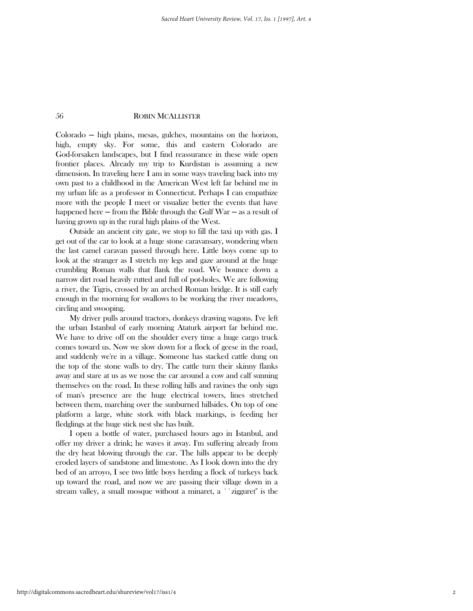Colorado ─ high plains, mesas, gulches, mountains on the horizon, high, empty sky. For some, this and eastern Colorado are God-forsaken landscapes, but I find reassurance in these wide open frontier places. Already my trip to Kurdistan is assuming a new dimension. In traveling here I am in some ways traveling back into my own past to a childhood in the American West left far behind me in my urban life as a professor in Connecticut. Perhaps I can empathize more with the people I meet or visualize better the events that have happened here  $-$  from the Bible through the Gulf War  $-$  as a result of having grown up in the rural high plains of the West.

 Outside an ancient city gate, we stop to fill the taxi up with gas. I get out of the car to look at a huge stone caravansary, wondering when the last camel caravan passed through here. Little boys come up to look at the stranger as I stretch my legs and gaze around at the huge crumbling Roman walls that flank the road. We bounce down a narrow dirt road heavily rutted and full of pot-holes. We are following a river, the Tigris, crossed by an arched Roman bridge. It is still early enough in the morning for swallows to be working the river meadows, circling and swooping.

 My driver pulls around tractors, donkeys drawing wagons. I've left the urban Istanbul of early morning Ataturk airport far behind me. We have to drive off on the shoulder every time a huge cargo truck comes toward us. Now we slow down for a flock of geese in the road, and suddenly we're in a village. Someone has stacked cattle dung on the top of the stone walls to dry. The cattle turn their skinny flanks away and stare at us as we nose the car around a cow and calf sunning themselves on the road. In these rolling hills and ravines the only sign of man's presence are the huge electrical towers, lines stretched between them, marching over the sunburned hillsides. On top of one platform a large, white stork with black markings, is feeding her fledglings at the huge stick nest she has built.

 I open a bottle of water, purchased hours ago in Istanbul, and offer my driver a drink; he waves it away. I'm suffering already from the dry heat blowing through the car. The hills appear to be deeply eroded layers of sandstone and limestone. As I look down into the dry bed of an arroyo, I see two little boys herding a flock of turkeys back up toward the road, and now we are passing their village down in a stream valley, a small mosque without a minaret, a ``zigguret'' is the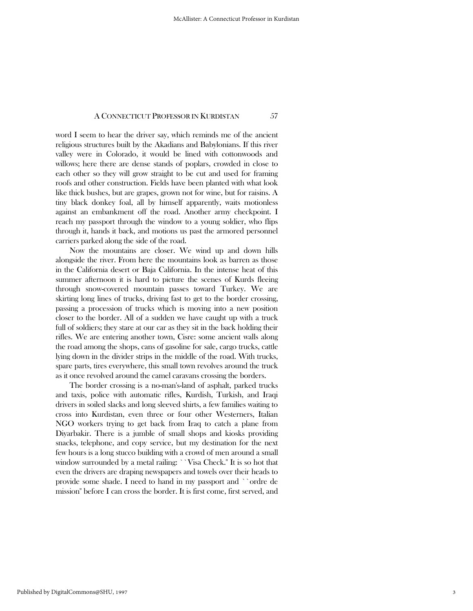word I seem to hear the driver say, which reminds me of the ancient religious structures built by the Akadians and Babylonians. If this river valley were in Colorado, it would be lined with cottonwoods and willows; here there are dense stands of poplars, crowded in close to each other so they will grow straight to be cut and used for framing roofs and other construction. Fields have been planted with what look like thick bushes, but are grapes, grown not for wine, but for raisins. A tiny black donkey foal, all by himself apparently, waits motionless against an embankment off the road. Another army checkpoint. I reach my passport through the window to a young soldier, who flips through it, hands it back, and motions us past the armored personnel carriers parked along the side of the road.

 Now the mountains are closer. We wind up and down hills alongside the river. From here the mountains look as barren as those in the California desert or Baja California. In the intense heat of this summer afternoon it is hard to picture the scenes of Kurds fleeing through snow-covered mountain passes toward Turkey. We are skirting long lines of trucks, driving fast to get to the border crossing, passing a procession of trucks which is moving into a new position closer to the border. All of a sudden we have caught up with a truck full of soldiers; they stare at our car as they sit in the back holding their rifles. We are entering another town, Cisre: some ancient walls along the road among the shops, cans of gasoline for sale, cargo trucks, cattle lying down in the divider strips in the middle of the road. With trucks, spare parts, tires everywhere, this small town revolves around the truck as it once revolved around the camel caravans crossing the borders.

 The border crossing is a no-man's-land of asphalt, parked trucks and taxis, police with automatic rifles, Kurdish, Turkish, and Iraqi drivers in soiled slacks and long sleeved shirts, a few families waiting to cross into Kurdistan, even three or four other Westerners, Italian NGO workers trying to get back from Iraq to catch a plane from Diyarbakir. There is a jumble of small shops and kiosks providing snacks, telephone, and copy service, but my destination for the next few hours is a long stucco building with a crowd of men around a small window surrounded by a metal railing: ``Visa Check.'' It is so hot that even the drivers are draping newspapers and towels over their heads to provide some shade. I need to hand in my passport and ``ordre de mission'' before I can cross the border. It is first come, first served, and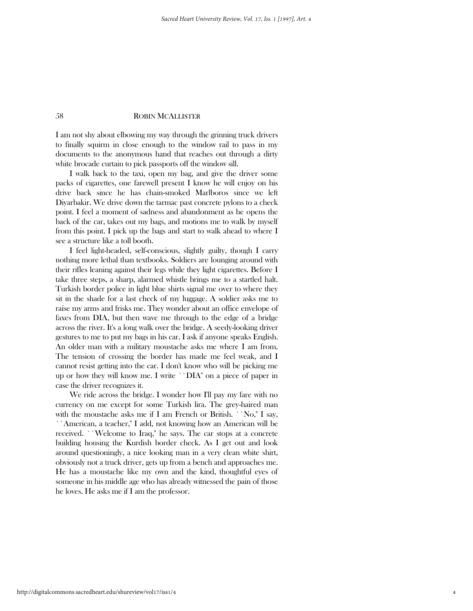I am not shy about elbowing my way through the grinning truck drivers to finally squirm in close enough to the window rail to pass in my documents to the anonymous hand that reaches out through a dirty white brocade curtain to pick passports off the window sill.

 I walk back to the taxi, open my bag, and give the driver some packs of cigarettes, one farewell present I know he will enjoy on his drive back since he has chain-smoked Marlboros since we left Diyarbakir. We drive down the tarmac past concrete pylons to a check point. I feel a moment of sadness and abandonment as he opens the back of the car, takes out my bags, and motions me to walk by myself from this point. I pick up the bags and start to walk ahead to where I see a structure like a toll booth.

 I feel light-headed, self-conscious, slightly guilty, though I carry nothing more lethal than textbooks. Soldiers are lounging around with their rifles leaning against their legs while they light cigarettes. Before I take three steps, a sharp, alarmed whistle brings me to a startled halt. Turkish border police in light blue shirts signal me over to where they sit in the shade for a last check of my luggage. A soldier asks me to raise my arms and frisks me. They wonder about an office envelope of faxes from DIA, but then wave me through to the edge of a bridge across the river. It's a long walk over the bridge. A seedy-looking driver gestures to me to put my bags in his car. I ask if anyone speaks English. An older man with a military moustache asks me where I am from. The tension of crossing the border has made me feel weak, and I cannot resist getting into the car. I don't know who will be picking me up or how they will know me. I write ``DIA'' on a piece of paper in case the driver recognizes it.

 We ride across the bridge. I wonder how I'll pay my fare with no currency on me except for some Turkish lira. The grey-haired man with the moustache asks me if I am French or British. ``No," I say, ``American, a teacher,'' I add, not knowing how an American will be received. ``Welcome to Iraq,'' he says. The car stops at a concrete building housing the Kurdish border check. As I get out and look around questioningly, a nice looking man in a very clean white shirt, obviously not a truck driver, gets up from a bench and approaches me. He has a moustache like my own and the kind, thoughtful eyes of someone in his middle age who has already witnessed the pain of those he loves. He asks me if I am the professor.

http://digitalcommons.sacredheart.edu/shureview/vol17/iss1/4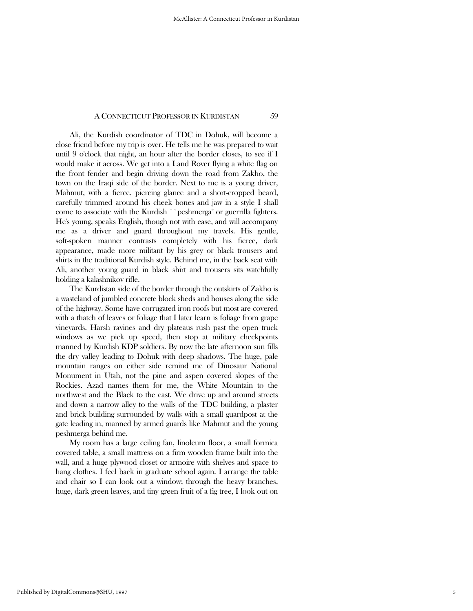Ali, the Kurdish coordinator of TDC in Dohuk, will become a close friend before my trip is over. He tells me he was prepared to wait until 9 o'clock that night, an hour after the border closes, to see if I would make it across. We get into a Land Rover flying a white flag on the front fender and begin driving down the road from Zakho, the town on the Iraqi side of the border. Next to me is a young driver, Mahmut, with a fierce, piercing glance and a short-cropped beard, carefully trimmed around his cheek bones and jaw in a style I shall come to associate with the Kurdish ``peshmerga'' or guerrilla fighters. He's young, speaks English, though not with ease, and will accompany me as a driver and guard throughout my travels. His gentle, soft-spoken manner contrasts completely with his fierce, dark appearance, made more militant by his grey or black trousers and shirts in the traditional Kurdish style. Behind me, in the back seat with Ali, another young guard in black shirt and trousers sits watchfully holding a kalashnikov rifle.

 The Kurdistan side of the border through the outskirts of Zakho is a wasteland of jumbled concrete block sheds and houses along the side of the highway. Some have corrugated iron roofs but most are covered with a thatch of leaves or foliage that I later learn is foliage from grape vineyards. Harsh ravines and dry plateaus rush past the open truck windows as we pick up speed, then stop at military checkpoints manned by Kurdish KDP soldiers. By now the late afternoon sun fills the dry valley leading to Dohuk with deep shadows. The huge, pale mountain ranges on either side remind me of Dinosaur National Monument in Utah, not the pine and aspen covered slopes of the Rockies. Azad names them for me, the White Mountain to the northwest and the Black to the east. We drive up and around streets and down a narrow alley to the walls of the TDC building, a plaster and brick building surrounded by walls with a small guardpost at the gate leading in, manned by armed guards like Mahmut and the young peshmerga behind me.

 My room has a large ceiling fan, linoleum floor, a small formica covered table, a small mattress on a firm wooden frame built into the wall, and a huge plywood closet or armoire with shelves and space to hang clothes. I feel back in graduate school again. I arrange the table and chair so I can look out a window; through the heavy branches, huge, dark green leaves, and tiny green fruit of a fig tree, I look out on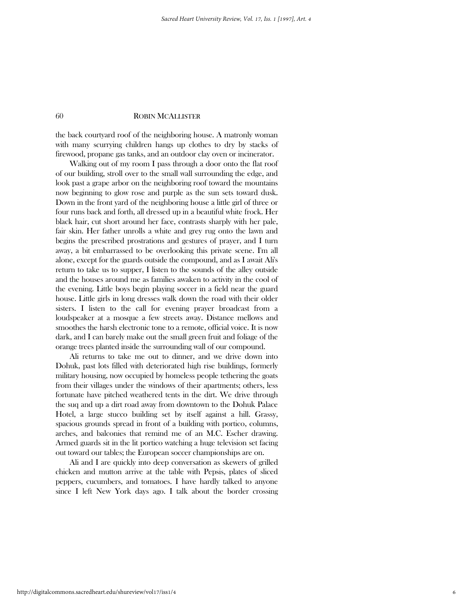the back courtyard roof of the neighboring house. A matronly woman with many scurrying children hangs up clothes to dry by stacks of firewood, propane gas tanks, and an outdoor clay oven or incinerator.

 Walking out of my room I pass through a door onto the flat roof of our building, stroll over to the small wall surrounding the edge, and look past a grape arbor on the neighboring roof toward the mountains now beginning to glow rose and purple as the sun sets toward dusk. Down in the front yard of the neighboring house a little girl of three or four runs back and forth, all dressed up in a beautiful white frock. Her black hair, cut short around her face, contrasts sharply with her pale, fair skin. Her father unrolls a white and grey rug onto the lawn and begins the prescribed prostrations and gestures of prayer, and I turn away, a bit embarrassed to be overlooking this private scene. I'm all alone, except for the guards outside the compound, and as I await Ali's return to take us to supper, I listen to the sounds of the alley outside and the houses around me as families awaken to activity in the cool of the evening. Little boys begin playing soccer in a field near the guard house. Little girls in long dresses walk down the road with their older sisters. I listen to the call for evening prayer broadcast from a loudspeaker at a mosque a few streets away. Distance mellows and smoothes the harsh electronic tone to a remote, official voice. It is now dark, and I can barely make out the small green fruit and foliage of the orange trees planted inside the surrounding wall of our compound.

 Ali returns to take me out to dinner, and we drive down into Dohuk, past lots filled with deteriorated high rise buildings, formerly military housing, now occupied by homeless people tethering the goats from their villages under the windows of their apartments; others, less fortunate have pitched weathered tents in the dirt. We drive through the suq and up a dirt road away from downtown to the Dohuk Palace Hotel, a large stucco building set by itself against a hill. Grassy, spacious grounds spread in front of a building with portico, columns, arches, and balconies that remind me of an M.C. Escher drawing. Armed guards sit in the lit portico watching a huge television set facing out toward our tables; the European soccer championships are on.

 Ali and I are quickly into deep conversation as skewers of grilled chicken and mutton arrive at the table with Pepsis, plates of sliced peppers, cucumbers, and tomatoes. I have hardly talked to anyone since I left New York days ago. I talk about the border crossing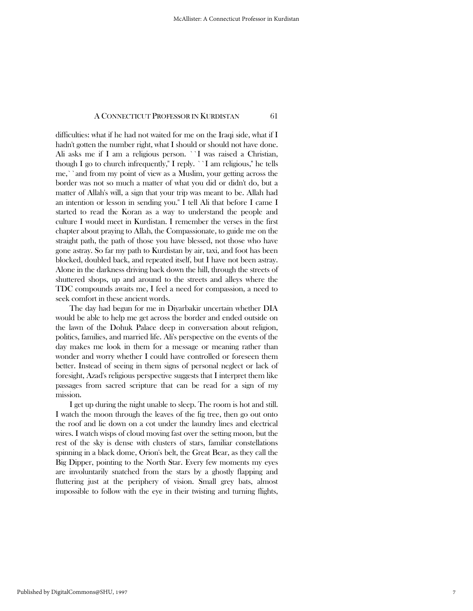difficulties: what if he had not waited for me on the Iraqi side, what if I hadn't gotten the number right, what I should or should not have done. Ali asks me if I am a religious person. ``I was raised a Christian, though I go to church infrequently,'' I reply. ``I am religious,'' he tells me,``and from my point of view as a Muslim, your getting across the border was not so much a matter of what you did or didn't do, but a matter of Allah's will, a sign that your trip was meant to be. Allah had an intention or lesson in sending you.'' I tell Ali that before I came I started to read the Koran as a way to understand the people and culture I would meet in Kurdistan. I remember the verses in the first chapter about praying to Allah, the Compassionate, to guide me on the straight path, the path of those you have blessed, not those who have gone astray. So far my path to Kurdistan by air, taxi, and foot has been blocked, doubled back, and repeated itself, but I have not been astray. Alone in the darkness driving back down the hill, through the streets of shuttered shops, up and around to the streets and alleys where the TDC compounds awaits me, I feel a need for compassion, a need to seek comfort in these ancient words.

 The day had begun for me in Diyarbakir uncertain whether DIA would be able to help me get across the border and ended outside on the lawn of the Dohuk Palace deep in conversation about religion, politics, families, and married life. Ali's perspective on the events of the day makes me look in them for a message or meaning rather than wonder and worry whether I could have controlled or foreseen them better. Instead of seeing in them signs of personal neglect or lack of foresight, Azad's religious perspective suggests that I interpret them like passages from sacred scripture that can be read for a sign of my mission.

 I get up during the night unable to sleep. The room is hot and still. I watch the moon through the leaves of the fig tree, then go out onto the roof and lie down on a cot under the laundry lines and electrical wires. I watch wisps of cloud moving fast over the setting moon, but the rest of the sky is dense with clusters of stars, familiar constellations spinning in a black dome, Orion's belt, the Great Bear, as they call the Big Dipper, pointing to the North Star. Every few moments my eyes are involuntarily snatched from the stars by a ghostly flapping and fluttering just at the periphery of vision. Small grey bats, almost impossible to follow with the eye in their twisting and turning flights,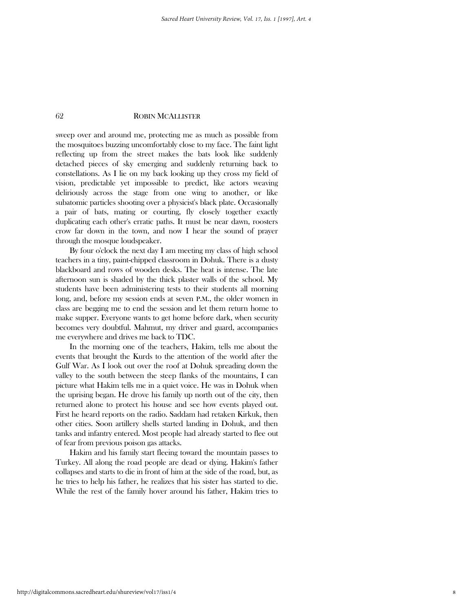sweep over and around me, protecting me as much as possible from the mosquitoes buzzing uncomfortably close to my face. The faint light reflecting up from the street makes the bats look like suddenly detached pieces of sky emerging and suddenly returning back to constellations. As I lie on my back looking up they cross my field of vision, predictable yet impossible to predict, like actors weaving deliriously across the stage from one wing to another, or like subatomic particles shooting over a physicist's black plate. Occasionally a pair of bats, mating or courting, fly closely together exactly duplicating each other's erratic paths. It must be near dawn, roosters crow far down in the town, and now I hear the sound of prayer through the mosque loudspeaker.

 By four o'clock the next day I am meeting my class of high school teachers in a tiny, paint-chipped classroom in Dohuk. There is a dusty blackboard and rows of wooden desks. The heat is intense. The late afternoon sun is shaded by the thick plaster walls of the school. My students have been administering tests to their students all morning long, and, before my session ends at seven P.M., the older women in class are begging me to end the session and let them return home to make supper. Everyone wants to get home before dark, when security becomes very doubtful. Mahmut, my driver and guard, accompanies me everywhere and drives me back to TDC.

 In the morning one of the teachers, Hakim, tells me about the events that brought the Kurds to the attention of the world after the Gulf War. As I look out over the roof at Dohuk spreading down the valley to the south between the steep flanks of the mountains, I can picture what Hakim tells me in a quiet voice. He was in Dohuk when the uprising began. He drove his family up north out of the city, then returned alone to protect his house and see how events played out. First he heard reports on the radio. Saddam had retaken Kirkuk, then other cities. Soon artillery shells started landing in Dohuk, and then tanks and infantry entered. Most people had already started to flee out of fear from previous poison gas attacks.

 Hakim and his family start fleeing toward the mountain passes to Turkey. All along the road people are dead or dying. Hakim's father collapses and starts to die in front of him at the side of the road, but, as he tries to help his father, he realizes that his sister has started to die. While the rest of the family hover around his father, Hakim tries to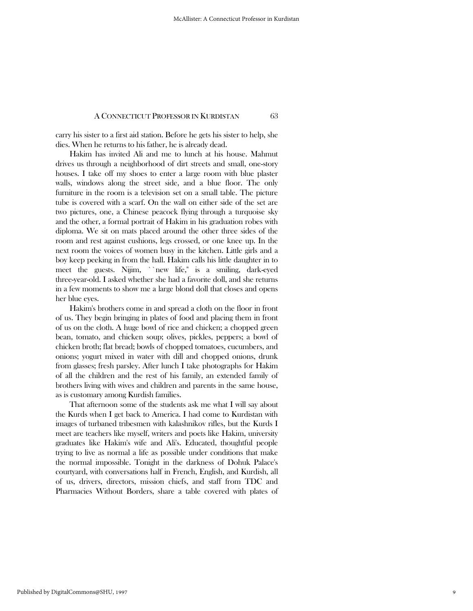carry his sister to a first aid station. Before he gets his sister to help, she dies. When he returns to his father, he is already dead.

 Hakim has invited Ali and me to lunch at his house. Mahmut drives us through a neighborhood of dirt streets and small, one-story houses. I take off my shoes to enter a large room with blue plaster walls, windows along the street side, and a blue floor. The only furniture in the room is a television set on a small table. The picture tube is covered with a scarf. On the wall on either side of the set are two pictures, one, a Chinese peacock flying through a turquoise sky and the other, a formal portrait of Hakim in his graduation robes with diploma. We sit on mats placed around the other three sides of the room and rest against cushions, legs crossed, or one knee up. In the next room the voices of women busy in the kitchen. Little girls and a boy keep peeking in from the hall. Hakim calls his little daughter in to meet the guests. Nijim, ``new life,'' is a smiling, dark-eyed three-year-old. I asked whether she had a favorite doll, and she returns in a few moments to show me a large blond doll that closes and opens her blue eyes.

 Hakim's brothers come in and spread a cloth on the floor in front of us. They begin bringing in plates of food and placing them in front of us on the cloth. A huge bowl of rice and chicken; a chopped green bean, tomato, and chicken soup; olives, pickles, peppers; a bowl of chicken broth; flat bread; bowls of chopped tomatoes, cucumbers, and onions; yogurt mixed in water with dill and chopped onions, drunk from glasses; fresh parsley. After lunch I take photographs for Hakim of all the children and the rest of his family, an extended family of brothers living with wives and children and parents in the same house, as is customary among Kurdish families.

 That afternoon some of the students ask me what I will say about the Kurds when I get back to America. I had come to Kurdistan with images of turbaned tribesmen with kalashnikov rifles, but the Kurds I meet are teachers like myself, writers and poets like Hakim, university graduates like Hakim's wife and Ali's. Educated, thoughtful people trying to live as normal a life as possible under conditions that make the normal impossible. Tonight in the darkness of Dohuk Palace's courtyard, with conversations half in French, English, and Kurdish, all of us, drivers, directors, mission chiefs, and staff from TDC and Pharmacies Without Borders, share a table covered with plates of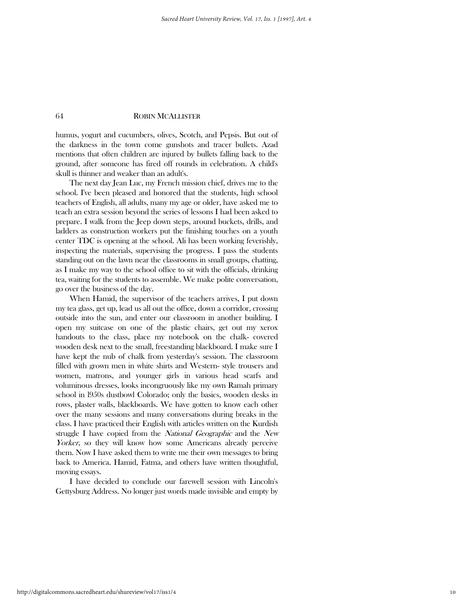humus, yogurt and cucumbers, olives, Scotch, and Pepsis. But out of the darkness in the town come gunshots and tracer bullets. Azad mentions that often children are injured by bullets falling back to the ground, after someone has fired off rounds in celebration. A child's skull is thinner and weaker than an adult's.

 The next day Jean Luc, my French mission chief, drives me to the school. I've been pleased and honored that the students, high school teachers of English, all adults, many my age or older, have asked me to teach an extra session beyond the series of lessons I had been asked to prepare. I walk from the Jeep down steps, around buckets, drills, and ladders as construction workers put the finishing touches on a youth center TDC is opening at the school. Ali has been working feverishly, inspecting the materials, supervising the progress. I pass the students standing out on the lawn near the classrooms in small groups, chatting, as I make my way to the school office to sit with the officials, drinking tea, waiting for the students to assemble. We make polite conversation, go over the business of the day.

 When Hamid, the supervisor of the teachers arrives, I put down my tea glass, get up, lead us all out the office, down a corridor, crossing outside into the sun, and enter our classroom in another building. I open my suitcase on one of the plastic chairs, get out my xerox handouts to the class, place my notebook on the chalk- covered wooden desk next to the small, freestanding blackboard. I make sure I have kept the nub of chalk from yesterday's session. The classroom filled with grown men in white shirts and Western- style trousers and women, matrons, and younger girls in various head scarfs and voluminous dresses, looks incongruously like my own Ramah primary school in l950s dustbowl Colorado; only the basics, wooden desks in rows, plaster walls, blackboards. We have gotten to know each other over the many sessions and many conversations during breaks in the class. I have practiced their English with articles written on the Kurdish struggle I have copied from the *National Geographic* and the *New* Yorker, so they will know how some Americans already perceive them. Now I have asked them to write me their own messages to bring back to America. Hamid, Fatma, and others have written thoughtful, moving essays.

 I have decided to conclude our farewell session with Lincoln's Gettysburg Address. No longer just words made invisible and empty by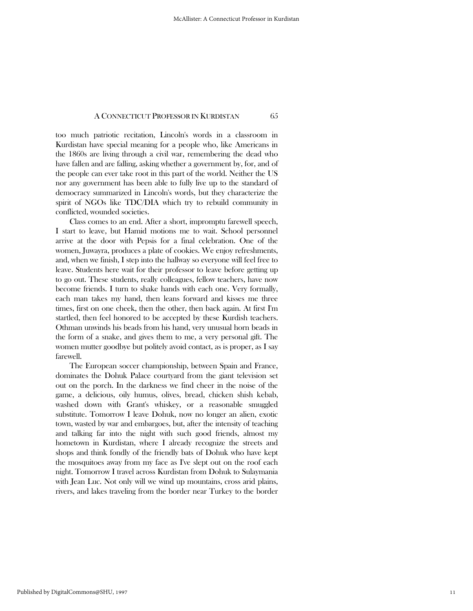too much patriotic recitation, Lincoln's words in a classroom in Kurdistan have special meaning for a people who, like Americans in the 1860s are living through a civil war, remembering the dead who have fallen and are falling, asking whether a government by, for, and of the people can ever take root in this part of the world. Neither the US nor any government has been able to fully live up to the standard of democracy summarized in Lincoln's words, but they characterize the spirit of NGOs like TDC/DIA which try to rebuild community in conflicted, wounded societies.

 Class comes to an end. After a short, impromptu farewell speech, I start to leave, but Hamid motions me to wait. School personnel arrive at the door with Pepsis for a final celebration. One of the women, Juwayra, produces a plate of cookies. We enjoy refreshments, and, when we finish, I step into the hallway so everyone will feel free to leave. Students here wait for their professor to leave before getting up to go out. These students, really colleagues, fellow teachers, have now become friends. I turn to shake hands with each one. Very formally, each man takes my hand, then leans forward and kisses me three times, first on one cheek, then the other, then back again. At first I'm startled, then feel honored to be accepted by these Kurdish teachers. Othman unwinds his beads from his hand, very unusual horn beads in the form of a snake, and gives them to me, a very personal gift. The women mutter goodbye but politely avoid contact, as is proper, as I say farewell.

 The European soccer championship, between Spain and France, dominates the Dohuk Palace courtyard from the giant television set out on the porch. In the darkness we find cheer in the noise of the game, a delicious, oily humus, olives, bread, chicken shish kebab, washed down with Grant's whiskey, or a reasonable smuggled substitute. Tomorrow I leave Dohuk, now no longer an alien, exotic town, wasted by war and embargoes, but, after the intensity of teaching and talking far into the night with such good friends, almost my hometown in Kurdistan, where I already recognize the streets and shops and think fondly of the friendly bats of Dohuk who have kept the mosquitoes away from my face as I've slept out on the roof each night. Tomorrow I travel across Kurdistan from Dohuk to Sulaymania with Jean Luc. Not only will we wind up mountains, cross arid plains, rivers, and lakes traveling from the border near Turkey to the border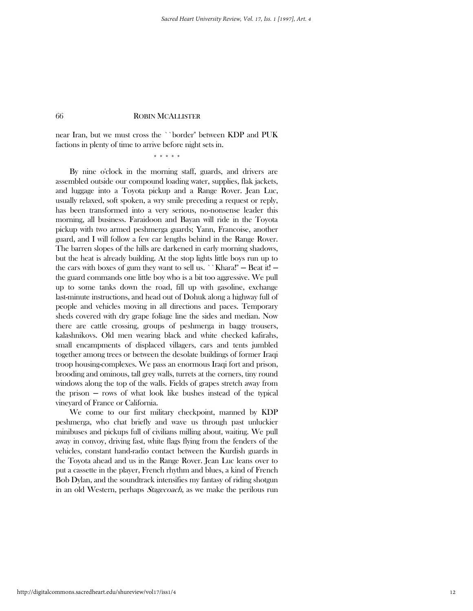near Iran, but we must cross the ``border'' between KDP and PUK factions in plenty of time to arrive before night sets in.

\* \* \* \* \*

 By nine o'clock in the morning staff, guards, and drivers are assembled outside our compound loading water, supplies, flak jackets, and luggage into a Toyota pickup and a Range Rover. Jean Luc, usually relaxed, soft spoken, a wry smile preceding a request or reply, has been transformed into a very serious, no-nonsense leader this morning, all business. Faraidoon and Bayan will ride in the Toyota pickup with two armed peshmerga guards; Yann, Francoise, another guard, and I will follow a few car lengths behind in the Range Rover. The barren slopes of the hills are darkened in early morning shadows, but the heat is already building. At the stop lights little boys run up to the cars with boxes of gum they want to sell us. ``Khara!''  $-$  Beat it!  $$ the guard commands one little boy who is a bit too aggressive. We pull up to some tanks down the road, fill up with gasoline, exchange last-minute instructions, and head out of Dohuk along a highway full of people and vehicles moving in all directions and paces. Temporary sheds covered with dry grape foliage line the sides and median. Now there are cattle crossing, groups of peshmerga in baggy trousers, kalashnikovs. Old men wearing black and white checked kafirahs, small encampments of displaced villagers, cars and tents jumbled together among trees or between the desolate buildings of former Iraqi troop housing-complexes. We pass an enormous Iraqi fort and prison, brooding and ominous, tall grey walls, turrets at the corners, tiny round windows along the top of the walls. Fields of grapes stretch away from the prison  $-$  rows of what look like bushes instead of the typical vineyard of France or California.

 We come to our first military checkpoint, manned by KDP peshmerga, who chat briefly and wave us through past unluckier minibuses and pickups full of civilians milling about, waiting. We pull away in convoy, driving fast, white flags flying from the fenders of the vehicles, constant hand-radio contact between the Kurdish guards in the Toyota ahead and us in the Range Rover. Jean Luc leans over to put a cassette in the player, French rhythm and blues, a kind of French Bob Dylan, and the soundtrack intensifies my fantasy of riding shotgun in an old Western, perhaps *Stagecoach*, as we make the perilous run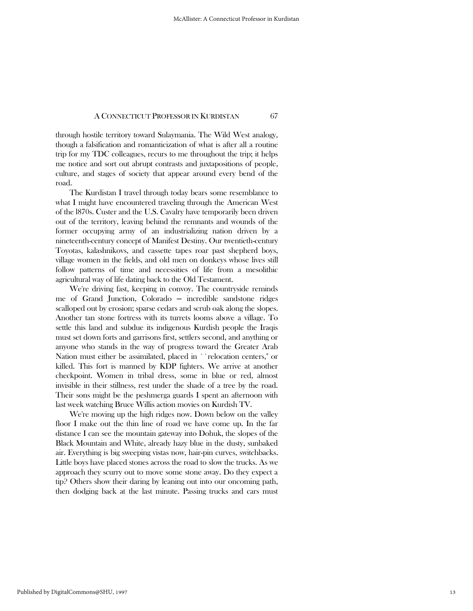through hostile territory toward Sulaymania. The Wild West analogy, though a falsification and romanticization of what is after all a routine trip for my TDC colleagues, recurs to me throughout the trip; it helps me notice and sort out abrupt contrasts and juxtapositions of people, culture, and stages of society that appear around every bend of the road.

 The Kurdistan I travel through today bears some resemblance to what I might have encountered traveling through the American West of the l870s. Custer and the U.S. Cavalry have temporarily been driven out of the territory, leaving behind the remnants and wounds of the former occupying army of an industrializing nation driven by a nineteenth-century concept of Manifest Destiny. Our twentieth-century Toyotas, kalashnikovs, and cassette tapes roar past shepherd boys, village women in the fields, and old men on donkeys whose lives still follow patterns of time and necessities of life from a mesolithic agricultural way of life dating back to the Old Testament.

 We're driving fast, keeping in convoy. The countryside reminds me of Grand Junction, Colorado — incredible sandstone ridges scalloped out by erosion; sparse cedars and scrub oak along the slopes. Another tan stone fortress with its turrets looms above a village. To settle this land and subdue its indigenous Kurdish people the Iraqis must set down forts and garrisons first, settlers second, and anything or anyone who stands in the way of progress toward the Greater Arab Nation must either be assimilated, placed in ``relocation centers,'' or killed. This fort is manned by KDP fighters. We arrive at another checkpoint. Women in tribal dress, some in blue or red, almost invisible in their stillness, rest under the shade of a tree by the road. Their sons might be the peshmerga guards I spent an afternoon with last week watching Bruce Willis action movies on Kurdish TV.

 We're moving up the high ridges now. Down below on the valley floor I make out the thin line of road we have come up. In the far distance I can see the mountain gateway into Dohuk, the slopes of the Black Mountain and White, already hazy blue in the dusty, sunbaked air. Everything is big sweeping vistas now, hair-pin curves, switchbacks. Little boys have placed stones across the road to slow the trucks. As we approach they scurry out to move some stone away. Do they expect a tip? Others show their daring by leaning out into our oncoming path, then dodging back at the last minute. Passing trucks and cars must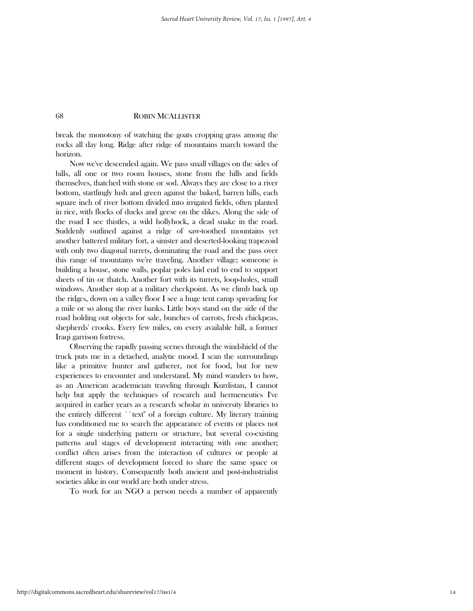break the monotony of watching the goats cropping grass among the rocks all day long. Ridge after ridge of mountains march toward the horizon.

 Now we've descended again. We pass small villages on the sides of hills, all one or two room houses, stone from the hills and fields themselves, thatched with stone or sod. Always they are close to a river bottom, startlingly lush and green against the baked, barren hills, each square inch of river bottom divided into irrigated fields, often planted in rice, with flocks of ducks and geese on the dikes. Along the side of the road I see thistles, a wild hollyhock, a dead snake in the road. Suddenly outlined against a ridge of saw-toothed mountains yet another battered military fort, a sinister and deserted-looking trapezoid with only two diagonal turrets, dominating the road and the pass over this range of mountains we're traveling. Another village; someone is building a house, stone walls, poplar poles laid end to end to support sheets of tin or thatch. Another fort with its turrets, loop-holes, small windows. Another stop at a military checkpoint. As we climb back up the ridges, down on a valley floor I see a huge tent camp spreading for a mile or so along the river banks. Little boys stand on the side of the road holding out objects for sale, bunches of carrots, fresh chickpeas, shepherds' crooks. Every few miles, on every available hill, a former Iraqi garrison fortress.

 Observing the rapidly passing scenes through the windshield of the truck puts me in a detached, analytic mood. I scan the surroundings like a primitive hunter and gatherer, not for food, but for new experiences to encounter and understand. My mind wanders to how, as an American academician traveling through Kurdistan, I cannot help but apply the techniques of research and hermeneutics I've acquired in earlier years as a research scholar in university libraries to the entirely different ``text'' of a foreign culture. My literary training has conditioned me to search the appearance of events or places not for a single underlying pattern or structure, but several co-existing patterns and stages of development interacting with one another; conflict often arises from the interaction of cultures or people at different stages of development forced to share the same space or moment in history. Consequently both ancient and post-industrialist societies alike in our world are both under stress.

To work for an NGO a person needs a number of apparently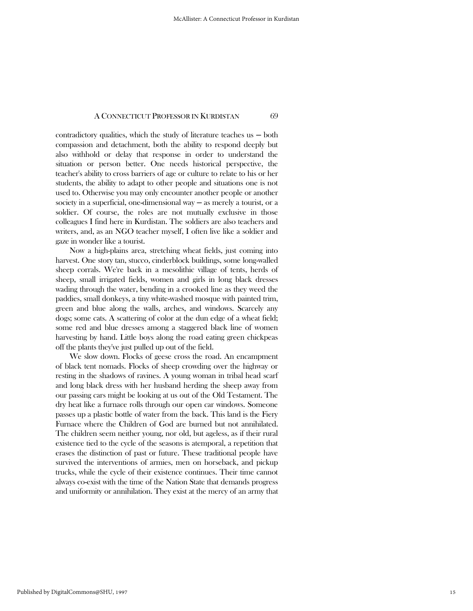contradictory qualities, which the study of literature teaches us  $-$  both compassion and detachment, both the ability to respond deeply but also withhold or delay that response in order to understand the situation or person better. One needs historical perspective, the teacher's ability to cross barriers of age or culture to relate to his or her students, the ability to adapt to other people and situations one is not used to. Otherwise you may only encounter another people or another society in a superficial, one-dimensional way  $-$  as merely a tourist, or a soldier. Of course, the roles are not mutually exclusive in those colleagues I find here in Kurdistan. The soldiers are also teachers and writers, and, as an NGO teacher myself, I often live like a soldier and gaze in wonder like a tourist.

 Now a high-plains area, stretching wheat fields, just coming into harvest. One story tan, stucco, cinderblock buildings, some long-walled sheep corrals. We're back in a mesolithic village of tents, herds of sheep, small irrigated fields, women and girls in long black dresses wading through the water, bending in a crooked line as they weed the paddies, small donkeys, a tiny white-washed mosque with painted trim, green and blue along the walls, arches, and windows. Scarcely any dogs; some cats. A scattering of color at the dun edge of a wheat field; some red and blue dresses among a staggered black line of women harvesting by hand. Little boys along the road eating green chickpeas off the plants they've just pulled up out of the field.

 We slow down. Flocks of geese cross the road. An encampment of black tent nomads. Flocks of sheep crowding over the highway or resting in the shadows of ravines. A young woman in tribal head scarf and long black dress with her husband herding the sheep away from our passing cars might be looking at us out of the Old Testament. The dry heat like a furnace rolls through our open car windows. Someone passes up a plastic bottle of water from the back. This land is the Fiery Furnace where the Children of God are burned but not annihilated. The children seem neither young, nor old, but ageless, as if their rural existence tied to the cycle of the seasons is atemporal, a repetition that erases the distinction of past or future. These traditional people have survived the interventions of armies, men on horseback, and pickup trucks, while the cycle of their existence continues. Their time cannot always co-exist with the time of the Nation State that demands progress and uniformity or annihilation. They exist at the mercy of an army that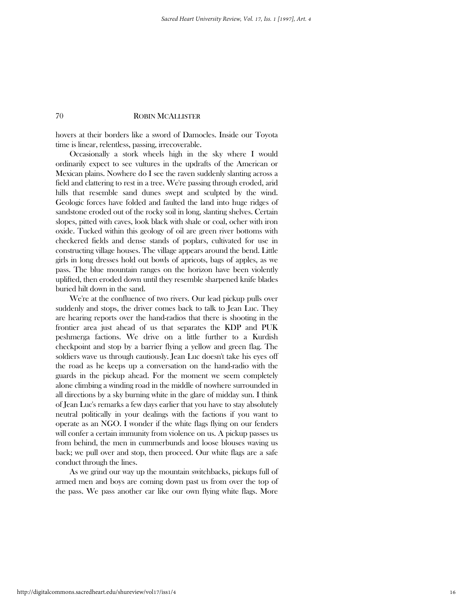hovers at their borders like a sword of Damocles. Inside our Toyota time is linear, relentless, passing, irrecoverable.

 Occasionally a stork wheels high in the sky where I would ordinarily expect to see vultures in the updrafts of the American or Mexican plains. Nowhere do I see the raven suddenly slanting across a field and clattering to rest in a tree. We're passing through eroded, arid hills that resemble sand dunes swept and sculpted by the wind. Geologic forces have folded and faulted the land into huge ridges of sandstone eroded out of the rocky soil in long, slanting shelves. Certain slopes, pitted with caves, look black with shale or coal, ocher with iron oxide. Tucked within this geology of oil are green river bottoms with checkered fields and dense stands of poplars, cultivated for use in constructing village houses. The village appears around the bend. Little girls in long dresses hold out bowls of apricots, bags of apples, as we pass. The blue mountain ranges on the horizon have been violently uplifted, then eroded down until they resemble sharpened knife blades buried hilt down in the sand.

 We're at the confluence of two rivers. Our lead pickup pulls over suddenly and stops, the driver comes back to talk to Jean Luc. They are hearing reports over the hand-radios that there is shooting in the frontier area just ahead of us that separates the KDP and PUK peshmerga factions. We drive on a little further to a Kurdish checkpoint and stop by a barrier flying a yellow and green flag. The soldiers wave us through cautiously. Jean Luc doesn't take his eyes off the road as he keeps up a conversation on the hand-radio with the guards in the pickup ahead. For the moment we seem completely alone climbing a winding road in the middle of nowhere surrounded in all directions by a sky burning white in the glare of midday sun. I think of Jean Luc's remarks a few days earlier that you have to stay absolutely neutral politically in your dealings with the factions if you want to operate as an NGO. I wonder if the white flags flying on our fenders will confer a certain immunity from violence on us. A pickup passes us from behind, the men in cummerbunds and loose blouses waving us back; we pull over and stop, then proceed. Our white flags are a safe conduct through the lines.

 As we grind our way up the mountain switchbacks, pickups full of armed men and boys are coming down past us from over the top of the pass. We pass another car like our own flying white flags. More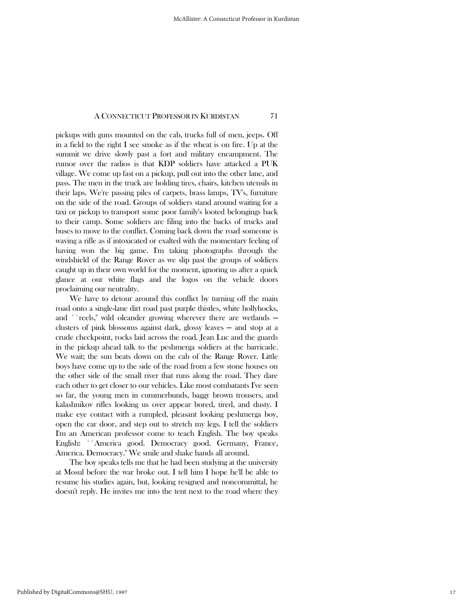pickups with guns mounted on the cab, trucks full of men, jeeps. Off in a field to the right I see smoke as if the wheat is on fire. Up at the summit we drive slowly past a fort and military encampment. The rumor over the radios is that KDP soldiers have attacked a PUK village. We come up fast on a pickup, pull out into the other lane, and pass. The men in the truck are holding tires, chairs, kitchen utensils in their laps. We're passing piles of carpets, brass lamps, TV's, furniture on the side of the road. Groups of soldiers stand around waiting for a taxi or pickup to transport some poor family's looted belongings back to their camp. Some soldiers are filing into the backs of trucks and buses to move to the conflict. Coming back down the road someone is waving a rifle as if intoxicated or exalted with the momentary feeling of having won the big game. I'm taking photographs through the windshield of the Range Rover as we slip past the groups of soldiers caught up in their own world for the moment, ignoring us after a quick glance at our white flags and the logos on the vehicle doors proclaiming our neutrality.

 We have to detour around this conflict by turning off the main road onto a single-lane dirt road past purple thistles, white hollyhocks, and ``reels," wild oleander growing wherever there are wetlands  $$ clusters of pink blossoms against dark, glossy leaves ─ and stop at a crude checkpoint, rocks laid across the road. Jean Luc and the guards in the pickup ahead talk to the peshmerga soldiers at the barricade. We wait; the sun beats down on the cab of the Range Rover. Little boys have come up to the side of the road from a few stone houses on the other side of the small river that runs along the road. They dare each other to get closer to our vehicles. Like most combatants I've seen so far, the young men in cummerbunds, baggy brown trousers, and kalashnikov rifles looking us over appear bored, tired, and dusty. I make eye contact with a rumpled, pleasant looking peshmerga boy, open the car door, and step out to stretch my legs. I tell the soldiers I'm an American professor come to teach English. The boy speaks English: ``America good. Democracy good. Germany, France, America. Democracy.'' We smile and shake hands all around.

 The boy speaks tells me that he had been studying at the university at Mosul before the war broke out. I tell him I hope he'll be able to resume his studies again, but, looking resigned and noncommittal, he doesn't reply. He invites me into the tent next to the road where they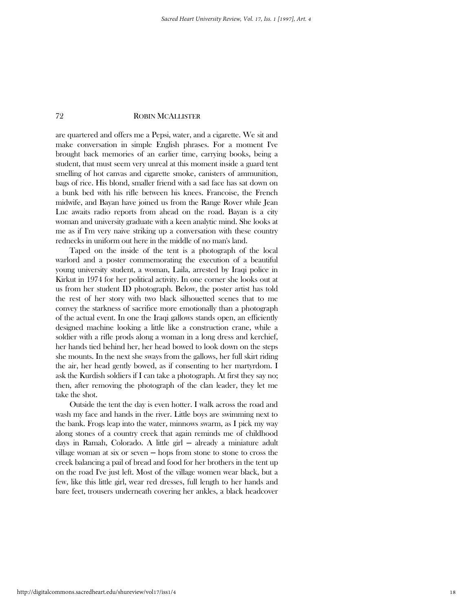are quartered and offers me a Pepsi, water, and a cigarette. We sit and make conversation in simple English phrases. For a moment I've brought back memories of an earlier time, carrying books, being a student, that must seem very unreal at this moment inside a guard tent smelling of hot canvas and cigarette smoke, canisters of ammunition, bags of rice. His blond, smaller friend with a sad face has sat down on a bunk bed with his rifle between his knees. Francoise, the French midwife, and Bayan have joined us from the Range Rover while Jean Luc awaits radio reports from ahead on the road. Bayan is a city woman and university graduate with a keen analytic mind. She looks at me as if I'm very naive striking up a conversation with these country rednecks in uniform out here in the middle of no man's land.

 Taped on the inside of the tent is a photograph of the local warlord and a poster commemorating the execution of a beautiful young university student, a woman, Laila, arrested by Iraqi police in Kirkut in 1974 for her political activity. In one corner she looks out at us from her student ID photograph. Below, the poster artist has told the rest of her story with two black silhouetted scenes that to me convey the starkness of sacrifice more emotionally than a photograph of the actual event. In one the Iraqi gallows stands open, an efficiently designed machine looking a little like a construction crane, while a soldier with a rifle prods along a woman in a long dress and kerchief, her hands tied behind her, her head bowed to look down on the steps she mounts. In the next she sways from the gallows, her full skirt riding the air, her head gently bowed, as if consenting to her martyrdom. I ask the Kurdish soldiers if I can take a photograph. At first they say no; then, after removing the photograph of the clan leader, they let me take the shot.

 Outside the tent the day is even hotter. I walk across the road and wash my face and hands in the river. Little boys are swimming next to the bank. Frogs leap into the water, minnows swarm, as I pick my way along stones of a country creek that again reminds me of childhood days in Ramah, Colorado. A little girl ─ already a miniature adult village woman at six or seven  $-$  hops from stone to stone to cross the creek balancing a pail of bread and food for her brothers in the tent up on the road I've just left. Most of the village women wear black, but a few, like this little girl, wear red dresses, full length to her hands and bare feet, trousers underneath covering her ankles, a black headcover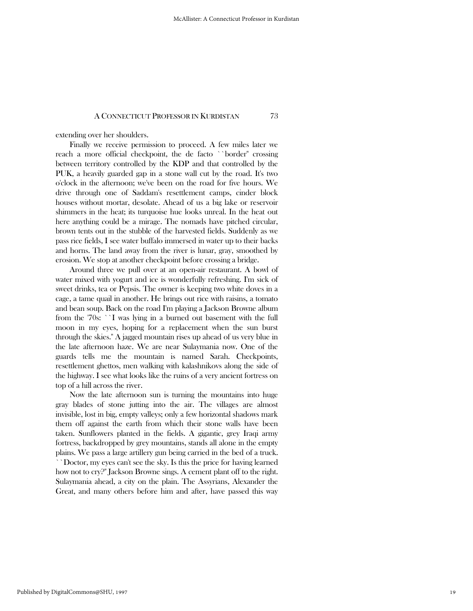extending over her shoulders.

 Finally we receive permission to proceed. A few miles later we reach a more official checkpoint, the de facto ``border'' crossing between territory controlled by the KDP and that controlled by the PUK, a heavily guarded gap in a stone wall cut by the road. It's two o'clock in the afternoon; we've been on the road for five hours. We drive through one of Saddam's resettlement camps, cinder block houses without mortar, desolate. Ahead of us a big lake or reservoir shimmers in the heat; its turquoise hue looks unreal. In the heat out here anything could be a mirage. The nomads have pitched circular, brown tents out in the stubble of the harvested fields. Suddenly as we pass rice fields, I see water buffalo immersed in water up to their backs and horns. The land away from the river is lunar, gray, smoothed by erosion. We stop at another checkpoint before crossing a bridge.

 Around three we pull over at an open-air restaurant. A bowl of water mixed with yogurt and ice is wonderfully refreshing. I'm sick of sweet drinks, tea or Pepsis. The owner is keeping two white doves in a cage, a tame quail in another. He brings out rice with raisins, a tomato and bean soup. Back on the road I'm playing a Jackson Browne album from the '70s: ``I was lying in a burned out basement with the full moon in my eyes, hoping for a replacement when the sun burst through the skies.'' A jagged mountain rises up ahead of us very blue in the late afternoon haze. We are near Sulaymania now. One of the guards tells me the mountain is named Sarah. Checkpoints, resettlement ghettos, men walking with kalashnikovs along the side of the highway. I see what looks like the ruins of a very ancient fortress on top of a hill across the river.

 Now the late afternoon sun is turning the mountains into huge gray blades of stone jutting into the air. The villages are almost invisible, lost in big, empty valleys; only a few horizontal shadows mark them off against the earth from which their stone walls have been taken. Sunflowers planted in the fields. A gigantic, grey Iraqi army fortress, backdropped by grey mountains, stands all alone in the empty plains. We pass a large artillery gun being carried in the bed of a truck. ``Doctor, my eyes can't see the sky. Is this the price for having learned how not to cry?'' Jackson Browne sings. A cement plant off to the right. Sulaymania ahead, a city on the plain. The Assyrians, Alexander the Great, and many others before him and after, have passed this way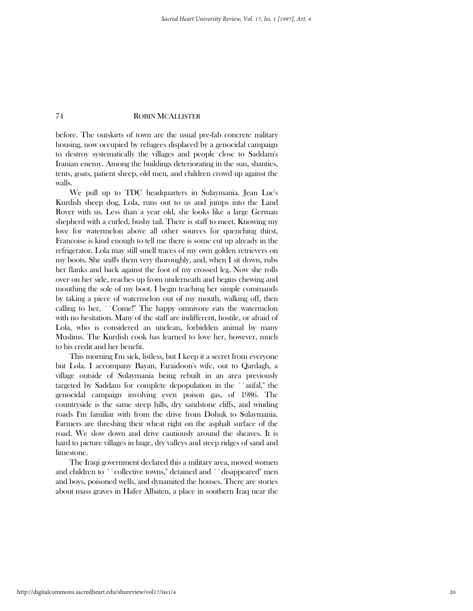before. The outskirts of town are the usual pre-fab concrete military housing, now occupied by refugees displaced by a genocidal campaign to destroy systematically the villages and people close to Saddam's Iranian enemy. Among the buildings deteriorating in the sun, shanties, tents, goats, patient sheep, old men, and children crowd up against the walls.

 We pull up to TDC headquarters in Sulaymania. Jean Luc's Kurdish sheep dog, Lola, runs out to us and jumps into the Land Rover with us. Less than a year old, she looks like a large German shepherd with a curled, bushy tail. There is staff to meet. Knowing my love for watermelon above all other sources for quenching thirst, Francoise is kind enough to tell me there is some cut up already in the refrigerator. Lola may still smell traces of my own golden retrievers on my boots. She sniffs them very thoroughly, and, when I sit down, rubs her flanks and back against the foot of my crossed leg. Now she rolls over on her side, reaches up from underneath and begins chewing and mouthing the sole of my boot. I begin teaching her simple commands by taking a piece of watermelon out of my mouth, walking off, then calling to her, ``Come!'' The happy omnivore eats the watermelon with no hesitation. Many of the staff are indifferent, hostile, or afraid of Lola, who is considered an unclean, forbidden animal by many Muslims. The Kurdish cook has learned to love her, however, much to his credit and her benefit.

 This morning I'm sick, listless, but I keep it a secret from everyone but Lola. I accompany Bayan, Faraidoon's wife, out to Qardagh, a village outside of Sulaymania being rebuilt in an area previously targeted by Saddam for complete depopulation in the ``anfal,'' the genocidal campaign involving even poison gas, of 1986. The countryside is the same steep hills, dry sandstone cliffs, and winding roads I'm familiar with from the drive from Dohuk to Sulaymania. Farmers are threshing their wheat right on the asphalt surface of the road. We slow down and drive cautiously around the sheaves. It is hard to picture villages in huge, dry valleys and steep ridges of sand and limestone.

 The Iraqi government declared this a military area, moved women and children to ``collective towns,'' detained and ``disappeared'' men and boys, poisoned wells, and dynamited the houses. There are stories about mass graves in Hafer Albaten, a place in southern Iraq near the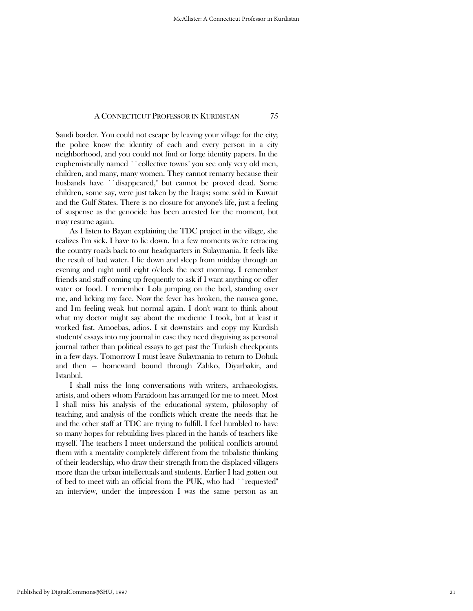Saudi border. You could not escape by leaving your village for the city; the police know the identity of each and every person in a city neighborhood, and you could not find or forge identity papers. In the euphemistically named ``collective towns'' you see only very old men, children, and many, many women. They cannot remarry because their husbands have ``disappeared,'' but cannot be proved dead. Some children, some say, were just taken by the Iraqis; some sold in Kuwait and the Gulf States. There is no closure for anyone's life, just a feeling of suspense as the genocide has been arrested for the moment, but may resume again.

 As I listen to Bayan explaining the TDC project in the village, she realizes I'm sick. I have to lie down. In a few moments we're retracing the country roads back to our headquarters in Sulaymania. It feels like the result of bad water. I lie down and sleep from midday through an evening and night until eight o'clock the next morning. I remember friends and staff coming up frequently to ask if I want anything or offer water or food. I remember Lola jumping on the bed, standing over me, and licking my face. Now the fever has broken, the nausea gone, and I'm feeling weak but normal again. I don't want to think about what my doctor might say about the medicine I took, but at least it worked fast. Amoebas, adios. I sit downstairs and copy my Kurdish students' essays into my journal in case they need disguising as personal journal rather than political essays to get past the Turkish checkpoints in a few days. Tomorrow I must leave Sulaymania to return to Dohuk and then ─ homeward bound through Zahko, Diyarbakir, and Istanbul.

 I shall miss the long conversations with writers, archaeologists, artists, and others whom Faraidoon has arranged for me to meet. Most I shall miss his analysis of the educational system, philosophy of teaching, and analysis of the conflicts which create the needs that he and the other staff at TDC are trying to fulfill. I feel humbled to have so many hopes for rebuilding lives placed in the hands of teachers like myself. The teachers I meet understand the political conflicts around them with a mentality completely different from the tribalistic thinking of their leadership, who draw their strength from the displaced villagers more than the urban intellectuals and students. Earlier I had gotten out of bed to meet with an official from the PUK, who had ``requested'' an interview, under the impression I was the same person as an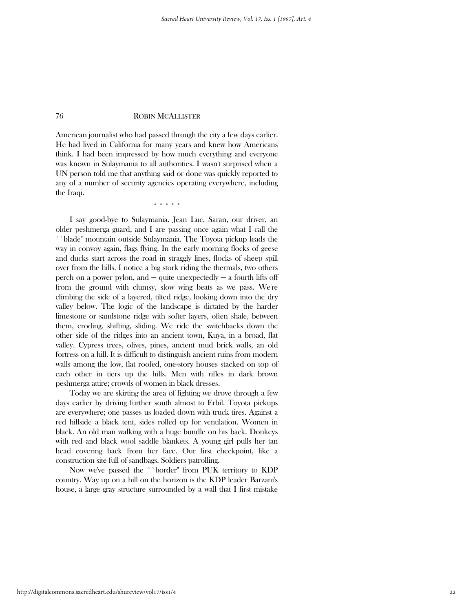American journalist who had passed through the city a few days earlier. He had lived in California for many years and knew how Americans think. I had been impressed by how much everything and everyone was known in Sulaymania to all authorities. I wasn't surprised when a UN person told me that anything said or done was quickly reported to any of a number of security agencies operating everywhere, including the Iraqi.

\* \* \* \* \*

 I say good-bye to Sulaymania. Jean Luc, Saran, our driver, an older peshmerga guard, and I are passing once again what I call the ``blade'' mountain outside Sulaymania. The Toyota pickup leads the way in convoy again, flags flying. In the early morning flocks of geese and ducks start across the road in straggly lines, flocks of sheep spill over from the hills. I notice a big stork riding the thermals, two others perch on a power pylon, and  $-$  quite unexpectedly  $-$  a fourth lifts off from the ground with clumsy, slow wing beats as we pass. We're climbing the side of a layered, tilted ridge, looking down into the dry valley below. The logic of the landscape is dictated by the harder limestone or sandstone ridge with softer layers, often shale, between them, eroding, shifting, sliding. We ride the switchbacks down the other side of the ridges into an ancient town, Kuya, in a broad, flat valley. Cypress trees, olives, pines, ancient mud brick walls, an old fortress on a hill. It is difficult to distinguish ancient ruins from modern walls among the low, flat roofed, one-story houses stacked on top of each other in tiers up the hills. Men with rifles in dark brown peshmerga attire; crowds of women in black dresses.

 Today we are skirting the area of fighting we drove through a few days earlier by driving further south almost to Erbil. Toyota pickups are everywhere; one passes us loaded down with truck tires. Against a red hillside a black tent, sides rolled up for ventilation. Women in black. An old man walking with a huge bundle on his back. Donkeys with red and black wool saddle blankets. A young girl pulls her tan head covering back from her face. Our first checkpoint, like a construction site full of sandbags. Soldiers patrolling.

 Now we've passed the ``border'' from PUK territory to KDP country. Way up on a hill on the horizon is the KDP leader Barzani's house, a large gray structure surrounded by a wall that I first mistake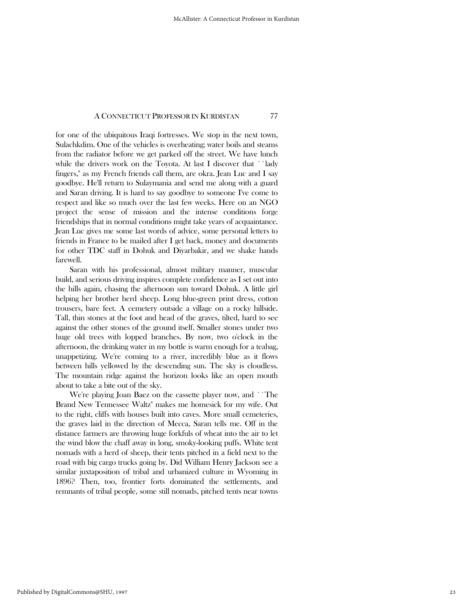for one of the ubiquitous Iraqi fortresses. We stop in the next town, Sulachkdim. One of the vehicles is overheating; water boils and steams from the radiator before we get parked off the street. We have lunch while the drivers work on the Toyota. At last I discover that ``lady fingers,'' as my French friends call them, are okra. Jean Luc and I say goodbye. He'll return to Sulaymania and send me along with a guard and Saran driving. It is hard to say goodbye to someone I've come to respect and like so much over the last few weeks. Here on an NGO project the sense of mission and the intense conditions forge friendships that in normal conditions might take years of acquaintance. Jean Luc gives me some last words of advice, some personal letters to friends in France to be mailed after I get back, money and documents for other TDC staff in Dohuk and Diyarbakir, and we shake hands farewell.

 Saran with his professional, almost military manner, muscular build, and serious driving inspires complete confidence as I set out into the hills again, chasing the afternoon sun toward Dohuk. A little girl helping her brother herd sheep. Long blue-green print dress, cotton trousers, bare feet. A cemetery outside a village on a rocky hillside. Tall, thin stones at the foot and head of the graves, tilted, hard to see against the other stones of the ground itself. Smaller stones under two huge old trees with lopped branches. By now, two o'clock in the afternoon, the drinking water in my bottle is warm enough for a teabag, unappetizing. We're coming to a river, incredibly blue as it flows between hills yellowed by the descending sun. The sky is cloudless. The mountain ridge against the horizon looks like an open mouth about to take a bite out of the sky.

 We're playing Joan Baez on the cassette player now, and ``The Brand New Tennessee Waltz'' makes me homesick for my wife. Out to the right, cliffs with houses built into caves. More small cemeteries, the graves laid in the direction of Mecca, Saran tells me. Off in the distance farmers are throwing huge forkfuls of wheat into the air to let the wind blow the chaff away in long, smoky-looking puffs. White tent nomads with a herd of sheep, their tents pitched in a field next to the road with big cargo trucks going by. Did William Henry Jackson see a similar juxtaposition of tribal and urbanized culture in Wyoming in 1896? Then, too, frontier forts dominated the settlements, and remnants of tribal people, some still nomads, pitched tents near towns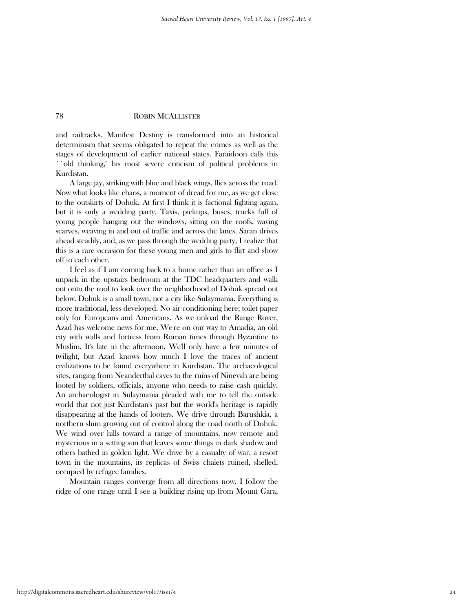and railtracks. Manifest Destiny is transformed into an historical determinism that seems obligated to repeat the crimes as well as the stages of development of earlier national states. Faraidoon calls this ``old thinking,'' his most severe criticism of political problems in Kurdistan.

 A large jay, striking with blue and black wings, flies across the road. Now what looks like chaos, a moment of dread for me, as we get close to the outskirts of Dohuk. At first I think it is factional fighting again, but it is only a wedding party. Taxis, pickups, buses, trucks full of young people hanging out the windows, sitting on the roofs, waving scarves, weaving in and out of traffic and across the lanes. Saran drives ahead steadily, and, as we pass through the wedding party, I realize that this is a rare occasion for these young men and girls to flirt and show off to each other.

 I feel as if I am coming back to a home rather than an office as I unpack in the upstairs bedroom at the TDC headquarters and walk out onto the roof to look over the neighborhood of Dohuk spread out below. Dohuk is a small town, not a city like Sulaymania. Everything is more traditional, less developed. No air conditioning here; toilet paper only for Europeans and Americans. As we unload the Range Rover, Azad has welcome news for me. We're on our way to Amadia, an old city with walls and fortress from Roman times through Byzantine to Muslim. It's late in the afternoon. We'll only have a few minutes of twilight, but Azad knows how much I love the traces of ancient civilizations to be found everywhere in Kurdistan. The archaeological sites, ranging from Neanderthal caves to the ruins of Ninevah are being looted by soldiers, officials, anyone who needs to raise cash quickly. An archaeologist in Sulaymania pleaded with me to tell the outside world that not just Kurdistan's past but the world's heritage is rapidly disappearing at the hands of looters. We drive through Barushkia, a northern slum growing out of control along the road north of Dohuk. We wind over hills toward a range of mountains, now remote and mysterious in a setting sun that leaves some things in dark shadow and others bathed in golden light. We drive by a casualty of war, a resort town in the mountains, its replicas of Swiss chalets ruined, shelled, occupied by refugee families.

 Mountain ranges converge from all directions now. I follow the ridge of one range until I see a building rising up from Mount Gara,